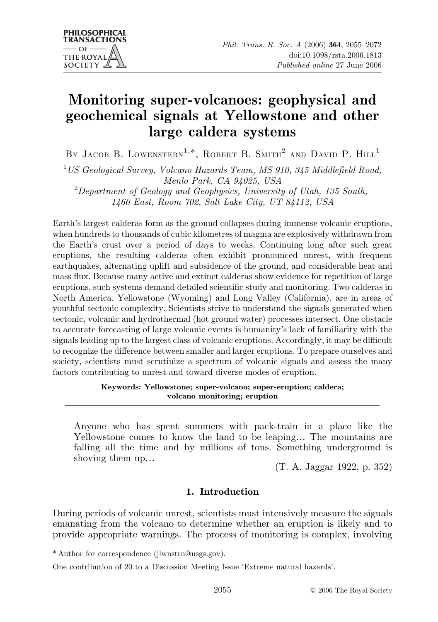# Monitoring super-volcanoes: geophysical and geochemical signals at Yellowstone and other large caldera systems

BY JACOB B. LOWENSTERN<sup>1,\*</sup>, ROBERT B. SMITH<sup>2</sup> AND DAVID P.  $HILL<sup>1</sup>$ 

 $1 \text{ US}$  Geological Survey, Volcano Hazards Team, MS 910, 345 Middlefield Road, Menlo Park, CA 94025, USA

 $^{2}$ Department of Geology and Geophysics, University of Utah, 135 South, 1460 East, Room 702, Salt Lake City, UT 84112, USA

Earth's largest calderas form as the ground collapses during immense volcanic eruptions, when hundreds to thousands of cubic kilometres of magma are explosively withdrawn from the Earth's crust over a period of days to weeks. Continuing long after such great eruptions, the resulting calderas often exhibit pronounced unrest, with frequent earthquakes, alternating uplift and subsidence of the ground, and considerable heat and mass flux. Because many active and extinct calderas show evidence for repetition of large eruptions, such systems demand detailed scientific study and monitoring. Two calderas in North America, Yellowstone (Wyoming) and Long Valley (California), are in areas of youthful tectonic complexity. Scientists strive to understand the signals generated when tectonic, volcanic and hydrothermal (hot ground water) processes intersect. One obstacle to accurate forecasting of large volcanic events is humanity's lack of familiarity with the signals leading up to the largest class of volcanic eruptions. Accordingly, it may be difficult to recognize the difference between smaller and larger eruptions. To prepare ourselves and society, scientists must scrutinize a spectrum of volcanic signals and assess the many factors contributing to unrest and toward diverse modes of eruption.

## Keywords: Yellowstone; super-volcano; super-eruption; caldera; volcano monitoring; eruption

Anyone who has spent summers with pack-train in a place like the Yellowstone comes to know the land to be leaping... The mountains are falling all the time and by millions of tons. Something underground is shoving them up...  $(T. A. Jagger 1922, p. 352)$ 

## 1. Introduction

During periods of volcanic unrest, scientists must intensively measure the signals emanating from the volcano to determine whether an eruption is likely and to provide appropriate warnings. The process of monitoring is complex, involving

\* Author for correspondence (jlwnstrn@usgs.gov).

One contribution of 20 to a Discussion Meeting Issue 'Extreme natural hazards'.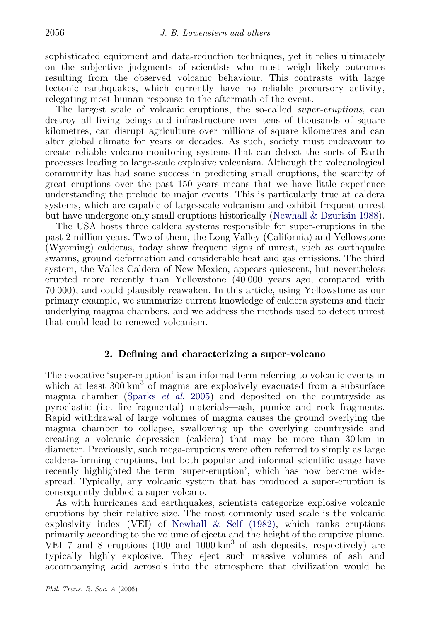sophisticated equipment and data-reduction techniques, yet it relies ultimately on the subjective judgments of scientists who must weigh likely outcomes resulting from the observed volcanic behaviour. This contrasts with large tectonic earthquakes, which currently have no reliable precursory activity, relegating most human response to the aftermath of the event.

The largest scale of volcanic eruptions, the so-called super-eruptions, can destroy all living beings and infrastructure over tens of thousands of square kilometres, can disrupt agriculture over millions of square kilometres and can alter global climate for years or decades. As such, society must endeavour to create reliable volcano-monitoring systems that can detect the sorts of Earth processes leading to large-scale explosive volcanism. Although the volcanological community has had some success in predicting small eruptions, the scarcity of great eruptions over the past 150 years means that we have little experience understanding the prelude to major events. This is particularly true at caldera systems, which are capable of large-scale volcanism and exhibit frequent unrest but have undergone only small eruptions historically ([Newhall & Dzurisin 1988](#page-16-0)).

The USA hosts three caldera systems responsible for super-eruptions in the past 2 million years. Two of them, the Long Valley (California) and Yellowstone (Wyoming) calderas, today show frequent signs of unrest, such as earthquake swarms, ground deformation and considerable heat and gas emissions. The third system, the Valles Caldera of New Mexico, appears quiescent, but nevertheless erupted more recently than Yellowstone (40 000 years ago, compared with 70 000), and could plausibly reawaken. In this article, using Yellowstone as our primary example, we summarize current knowledge of caldera systems and their underlying magma chambers, and we address the methods used to detect unrest that could lead to renewed volcanism.

## 2. Defining and characterizing a super-volcano

The evocative 'super-eruption' is an informal term referring to volcanic events in which at least  $300 \text{ km}^3$  of magma are explosively evacuated from a subsurface magma chamber [\(Sparks](#page-17-0) *et al.* 2005) and deposited on the countryside as pyroclastic (i.e. fire-fragmental) materials—ash, pumice and rock fragments. Rapid withdrawal of large volumes of magma causes the ground overlying the magma chamber to collapse, swallowing up the overlying countryside and creating a volcanic depression (caldera) that may be more than 30 km in diameter. Previously, such mega-eruptions were often referred to simply as large caldera-forming eruptions, but both popular and informal scientific usage have recently highlighted the term 'super-eruption', which has now become widespread. Typically, any volcanic system that has produced a super-eruption is consequently dubbed a super-volcano.

As with hurricanes and earthquakes, scientists categorize explosive volcanic eruptions by their relative size. The most commonly used scale is the volcanic explosivity index (VEI) of [Newhall & Self \(1982\)](#page-16-0), which ranks eruptions primarily according to the volume of ejecta and the height of the eruptive plume. VEI 7 and 8 eruptions  $(100 \text{ and } 1000 \text{ km}^3 \text{ of } \text{ash } \text{ deposits}, \text{ respectively})$  are typically highly explosive. They eject such massive volumes of ash and accompanying acid aerosols into the atmosphere that civilization would be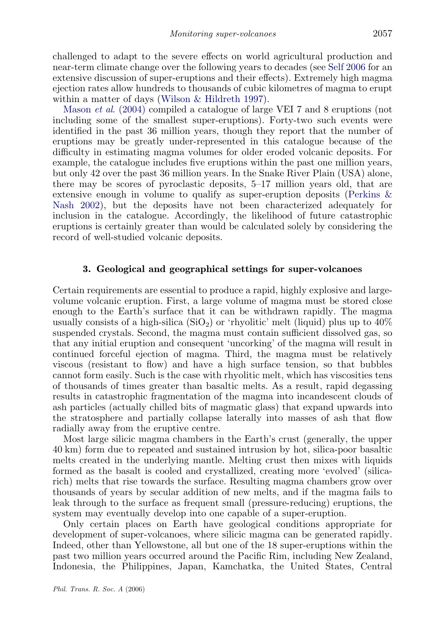challenged to adapt to the severe effects on world agricultural production and near-term climate change over the following years to decades (see [Self 2006](#page-16-0) for an extensive discussion of super-eruptions and their effects). Extremely high magma ejection rates allow hundreds to thousands of cubic kilometres of magma to erupt within a matter of days [\(Wilson & Hildreth 1997](#page-17-0)).

Mason *et al.* (2004) compiled a catalogue of large VEI 7 and 8 eruptions (not including some of the smallest super-eruptions). Forty-two such events were identified in the past 36 million years, though they report that the number of eruptions may be greatly under-represented in this catalogue because of the difficulty in estimating magma volumes for older eroded volcanic deposits. For example, the catalogue includes five eruptions within the past one million years, but only 42 over the past 36 million years. In the Snake River Plain (USA) alone, there may be scores of pyroclastic deposits, 5–17 million years old, that are extensive enough in volume to qualify as super-eruption deposits [\(Perkins &](#page-16-0) [Nash 2002](#page-16-0)), but the deposits have not been characterized adequately for inclusion in the catalogue. Accordingly, the likelihood of future catastrophic eruptions is certainly greater than would be calculated solely by considering the record of well-studied volcanic deposits.

## 3. Geological and geographical settings for super-volcanoes

Certain requirements are essential to produce a rapid, highly explosive and largevolume volcanic eruption. First, a large volume of magma must be stored close enough to the Earth's surface that it can be withdrawn rapidly. The magma usually consists of a high-silica ( $SiO<sub>2</sub>$ ) or 'rhyolitic' melt (liquid) plus up to  $40\%$ suspended crystals. Second, the magma must contain sufficient dissolved gas, so that any initial eruption and consequent 'uncorking' of the magma will result in continued forceful ejection of magma. Third, the magma must be relatively viscous (resistant to flow) and have a high surface tension, so that bubbles cannot form easily. Such is the case with rhyolitic melt, which has viscosities tens of thousands of times greater than basaltic melts. As a result, rapid degassing results in catastrophic fragmentation of the magma into incandescent clouds of ash particles (actually chilled bits of magmatic glass) that expand upwards into the stratosphere and partially collapse laterally into masses of ash that flow radially away from the eruptive centre.

Most large silicic magma chambers in the Earth's crust (generally, the upper 40 km) form due to repeated and sustained intrusion by hot, silica-poor basaltic melts created in the underlying mantle. Melting crust then mixes with liquids formed as the basalt is cooled and crystallized, creating more 'evolved' (silicarich) melts that rise towards the surface. Resulting magma chambers grow over thousands of years by secular addition of new melts, and if the magma fails to leak through to the surface as frequent small (pressure-reducing) eruptions, the system may eventually develop into one capable of a super-eruption.

Only certain places on Earth have geological conditions appropriate for development of super-volcanoes, where silicic magma can be generated rapidly. Indeed, other than Yellowstone, all but one of the 18 super-eruptions within the past two million years occurred around the Pacific Rim, including New Zealand, Indonesia, the Philippines, Japan, Kamchatka, the United States, Central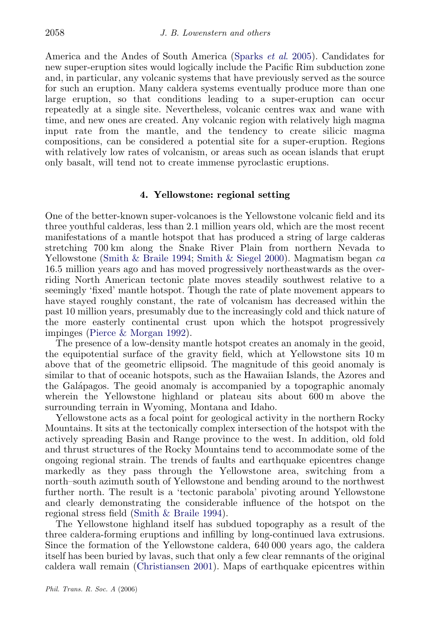America and the Andes of South America ([Sparks](#page-17-0) et al. 2005). Candidates for new super-eruption sites would logically include the Pacific Rim subduction zone and, in particular, any volcanic systems that have previously served as the source for such an eruption. Many caldera systems eventually produce more than one large eruption, so that conditions leading to a super-eruption can occur repeatedly at a single site. Nevertheless, volcanic centres wax and wane with time, and new ones are created. Any volcanic region with relatively high magma input rate from the mantle, and the tendency to create silicic magma compositions, can be considered a potential site for a super-eruption. Regions with relatively low rates of volcanism, or areas such as ocean islands that erupt only basalt, will tend not to create immense pyroclastic eruptions.

## 4. Yellowstone: regional setting

One of the better-known super-volcanoes is the Yellowstone volcanic field and its three youthful calderas, less than 2.1 million years old, which are the most recent manifestations of a mantle hotspot that has produced a string of large calderas stretching 700 km along the Snake River Plain from northern Nevada to Yellowstone [\(Smith & Braile 1994](#page-17-0); [Smith & Siegel 2000\)](#page-17-0). Magmatism began  $ca$ 16.5 million years ago and has moved progressively northeastwards as the overriding North American tectonic plate moves steadily southwest relative to a seemingly 'fixed' mantle hotspot. Though the rate of plate movement appears to have stayed roughly constant, the rate of volcanism has decreased within the past 10 million years, presumably due to the increasingly cold and thick nature of the more easterly continental crust upon which the hotspot progressively impinges ([Pierce & Morgan 1992](#page-16-0)).

The presence of a low-density mantle hotspot creates an anomaly in the geoid, the equipotential surface of the gravity field, which at Yellowstone sits 10 m above that of the geometric ellipsoid. The magnitude of this geoid anomaly is similar to that of oceanic hotspots, such as the Hawaiian Islands, the Azores and the Gala´pagos. The geoid anomaly is accompanied by a topographic anomaly wherein the Yellowstone highland or plateau sits about 600 m above the surrounding terrain in Wyoming, Montana and Idaho.

Yellowstone acts as a focal point for geological activity in the northern Rocky Mountains. It sits at the tectonically complex intersection of the hotspot with the actively spreading Basin and Range province to the west. In addition, old fold and thrust structures of the Rocky Mountains tend to accommodate some of the ongoing regional strain. The trends of faults and earthquake epicentres change markedly as they pass through the Yellowstone area, switching from a north–south azimuth south of Yellowstone and bending around to the northwest further north. The result is a 'tectonic parabola' pivoting around Yellowstone and clearly demonstrating the considerable influence of the hotspot on the regional stress field ([Smith & Braile 1994\)](#page-17-0).

The Yellowstone highland itself has subdued topography as a result of the three caldera-forming eruptions and infilling by long-continued lava extrusions. Since the formation of the Yellowstone caldera, 640 000 years ago, the caldera itself has been buried by lavas, such that only a few clear remnants of the original caldera wall remain [\(Christiansen 2001\)](#page-15-0). Maps of earthquake epicentres within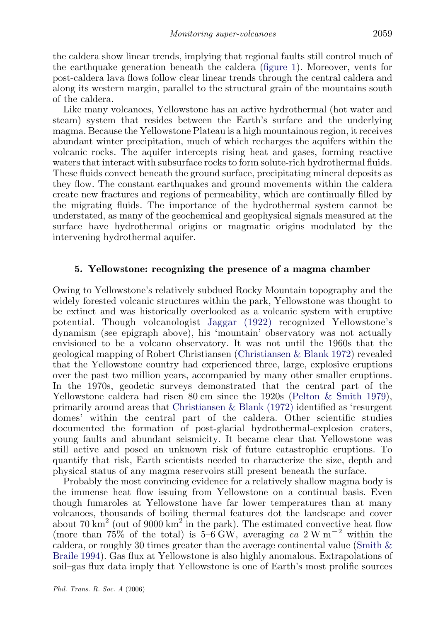the caldera show linear trends, implying that regional faults still control much of the earthquake generation beneath the caldera ([figure 1\)](#page-5-0). Moreover, vents for post-caldera lava flows follow clear linear trends through the central caldera and along its western margin, parallel to the structural grain of the mountains south of the caldera.

Like many volcanoes, Yellowstone has an active hydrothermal (hot water and steam) system that resides between the Earth's surface and the underlying magma. Because the Yellowstone Plateau is a high mountainous region, it receives abundant winter precipitation, much of which recharges the aquifers within the volcanic rocks. The aquifer intercepts rising heat and gases, forming reactive waters that interact with subsurface rocks to form solute-rich hydrothermal fluids. These fluids convect beneath the ground surface, precipitating mineral deposits as they flow. The constant earthquakes and ground movements within the caldera create new fractures and regions of permeability, which are continually filled by the migrating fluids. The importance of the hydrothermal system cannot be understated, as many of the geochemical and geophysical signals measured at the surface have hydrothermal origins or magmatic origins modulated by the intervening hydrothermal aquifer.

## 5. Yellowstone: recognizing the presence of a magma chamber

Owing to Yellowstone's relatively subdued Rocky Mountain topography and the widely forested volcanic structures within the park, Yellowstone was thought to be extinct and was historically overlooked as a volcanic system with eruptive potential. Though volcanologist [Jaggar \(1922\)](#page-16-0) recognized Yellowstone's dynamism (see epigraph above), his 'mountain' observatory was not actually envisioned to be a volcano observatory. It was not until the 1960s that the geological mapping of Robert Christiansen ([Christiansen & Blank 1972](#page-15-0)) revealed that the Yellowstone country had experienced three, large, explosive eruptions over the past two million years, accompanied by many other smaller eruptions. In the 1970s, geodetic surveys demonstrated that the central part of the Yellowstone caldera had risen 80 cm since the 1920s [\(Pelton & Smith 1979\)](#page-16-0), primarily around areas that [Christiansen & Blank \(1972\)](#page-15-0) identified as 'resurgent domes' within the central part of the caldera. Other scientific studies documented the formation of post-glacial hydrothermal-explosion craters, young faults and abundant seismicity. It became clear that Yellowstone was still active and posed an unknown risk of future catastrophic eruptions. To quantify that risk, Earth scientists needed to characterize the size, depth and physical status of any magma reservoirs still present beneath the surface.

Probably the most convincing evidence for a relatively shallow magma body is the immense heat flow issuing from Yellowstone on a continual basis. Even though fumaroles at Yellowstone have far lower temperatures than at many volcanoes, thousands of boiling thermal features dot the landscape and cover about 70 km<sup>2</sup> (out of 9000 km<sup>2</sup> in the park). The estimated convective heat flow (more than  $75\%$  of the total) is  $5-\overline{6}$  GW, averaging ca 2W m<sup>-2</sup> within the caldera, or roughly 30 times greater than the average continental value ([Smith &](#page-17-0) [Braile 1994\)](#page-17-0). Gas flux at Yellowstone is also highly anomalous. Extrapolations of soil–gas flux data imply that Yellowstone is one of Earth's most prolific sources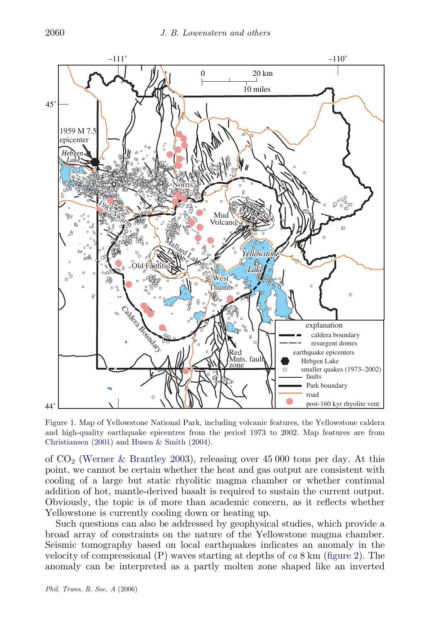<span id="page-5-0"></span>

Figure 1. Map of Yellowstone National Park, including volcanic features, the Yellowstone caldera and high-quality earthquake epicentres from the period 1973 to 2002. Map features are from [Christiansen \(2001\)](#page-15-0) and [Husen & Smith \(2004\)](#page-15-0).

of  $CO<sub>2</sub>$  ([Werner & Brantley 2003\)](#page-17-0), releasing over 45 000 tons per day. At this point, we cannot be certain whether the heat and gas output are consistent with cooling of a large but static rhyolitic magma chamber or whether continual addition of hot, mantle-derived basalt is required to sustain the current output. Obviously, the topic is of more than academic concern, as it reflects whether Yellowstone is currently cooling down or heating up.

Such questions can also be addressed by geophysical studies, which provide a broad array of constraints on the nature of the Yellowstone magma chamber. Seismic tomography based on local earthquakes indicates an anomaly in the velocity of compressional  $(P)$  waves starting at depths of ca 8 km ([figure 2](#page-6-0)). The anomaly can be interpreted as a partly molten zone shaped like an inverted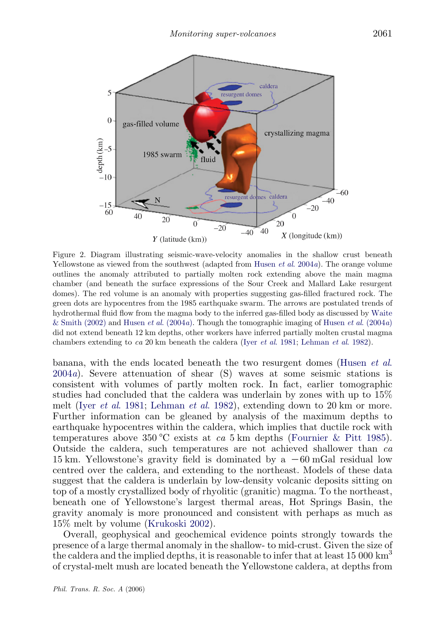<span id="page-6-0"></span>

Figure 2. Diagram illustrating seismic-wave-velocity anomalies in the shallow crust beneath Yellowstone as viewed from the southwest (adapted from [Husen](#page-15-0) et al. 2004a). The orange volume outlines the anomaly attributed to partially molten rock extending above the main magma chamber (and beneath the surface expressions of the Sour Creek and Mallard Lake resurgent domes). The red volume is an anomaly with properties suggesting gas-filled fractured rock. The green dots are hypocentres from the 1985 earthquake swarm. The arrows are postulated trends of hydrothermal fluid flow from the magma body to the inferred gas-filled body as discussed by [Waite](#page-17-0) [& Smith \(2002\)](#page-17-0) and Husen *et al.* (2004*a*). Though the tomographic imaging of Husen *et al.* (2004*a*) did not extend beneath 12 km depths, other workers have inferred partially molten crustal magma chambers extending to ca 20 km beneath the caldera (Iyer et al[. 1981;](#page-16-0) [Lehman](#page-16-0) et al. 1982).

banana, with the ends located beneath the two resurgent domes [\(Husen](#page-15-0) et al.  $2004a$  $2004a$ ). Severe attenuation of shear (S) waves at some seismic stations is consistent with volumes of partly molten rock. In fact, earlier tomographic studies had concluded that the caldera was underlain by zones with up to 15% melt (Iyer et al[. 1981](#page-16-0); [Lehman](#page-16-0) et al. 1982), extending down to 20 km or more. Further information can be gleaned by analysis of the maximum depths to earthquake hypocentres within the caldera, which implies that ductile rock with temperatures above 350 °C exists at ca 5 km depths [\(Fournier & Pitt 1985\)](#page-15-0). Outside the caldera, such temperatures are not achieved shallower than ca 15 km. Yellowstone's gravity field is dominated by a  $-60$  mGal residual low centred over the caldera, and extending to the northeast. Models of these data suggest that the caldera is underlain by low-density volcanic deposits sitting on top of a mostly crystallized body of rhyolitic (granitic) magma. To the northeast, beneath one of Yellowstone's largest thermal areas, Hot Springs Basin, the gravity anomaly is more pronounced and consistent with perhaps as much as 15% melt by volume ([Krukoski 2002\)](#page-16-0).

Overall, geophysical and geochemical evidence points strongly towards the presence of a large thermal anomaly in the shallow- to mid-crust. Given the size of the caldera and the implied depths, it is reasonable to infer that at least  $15\ 000 \mathrm{km}^3$ of crystal-melt mush are located beneath the Yellowstone caldera, at depths from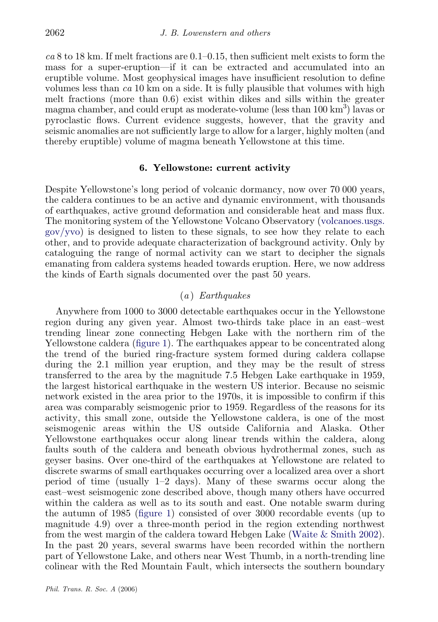$ca$  8 to 18 km. If melt fractions are  $0.1-0.15$ , then sufficient melt exists to form the mass for a super-eruption—if it can be extracted and accumulated into an eruptible volume. Most geophysical images have insufficient resolution to define volumes less than  $ca$  10 km on a side. It is fully plausible that volumes with high melt fractions (more than 0.6) exist within dikes and sills within the greater magma chamber, and could erupt as moderate-volume (less than  $100 \text{ km}^3$ ) lavas or pyroclastic flows. Current evidence suggests, however, that the gravity and seismic anomalies are not sufficiently large to allow for a larger, highly molten (and thereby eruptible) volume of magma beneath Yellowstone at this time.

#### 6. Yellowstone: current activity

Despite Yellowstone's long period of volcanic dormancy, now over 70 000 years, the caldera continues to be an active and dynamic environment, with thousands of earthquakes, active ground deformation and considerable heat and mass flux. The monitoring system of the Yellowstone Volcano Observatory ([volcanoes.usgs.](http://volcanoes.usgs.gov/yvo) [gov/yvo](http://volcanoes.usgs.gov/yvo)) is designed to listen to these signals, to see how they relate to each other, and to provide adequate characterization of background activity. Only by cataloguing the range of normal activity can we start to decipher the signals emanating from caldera systems headed towards eruption. Here, we now address the kinds of Earth signals documented over the past 50 years.

## (a ) Earthquakes

Anywhere from 1000 to 3000 detectable earthquakes occur in the Yellowstone region during any given year. Almost two-thirds take place in an east–west trending linear zone connecting Hebgen Lake with the northern rim of the Yellowstone caldera ([figure 1](#page-5-0)). The earthquakes appear to be concentrated along the trend of the buried ring-fracture system formed during caldera collapse during the 2.1 million year eruption, and they may be the result of stress transferred to the area by the magnitude 7.5 Hebgen Lake earthquake in 1959, the largest historical earthquake in the western US interior. Because no seismic network existed in the area prior to the 1970s, it is impossible to confirm if this area was comparably seismogenic prior to 1959. Regardless of the reasons for its activity, this small zone, outside the Yellowstone caldera, is one of the most seismogenic areas within the US outside California and Alaska. Other Yellowstone earthquakes occur along linear trends within the caldera, along faults south of the caldera and beneath obvious hydrothermal zones, such as geyser basins. Over one-third of the earthquakes at Yellowstone are related to discrete swarms of small earthquakes occurring over a localized area over a short period of time (usually 1–2 days). Many of these swarms occur along the east–west seismogenic zone described above, though many others have occurred within the caldera as well as to its south and east. One notable swarm during the autumn of 1985 ([figure 1\)](#page-5-0) consisted of over 3000 recordable events (up to magnitude 4.9) over a three-month period in the region extending northwest from the west margin of the caldera toward Hebgen Lake ([Waite & Smith 2002](#page-17-0)). In the past 20 years, several swarms have been recorded within the northern part of Yellowstone Lake, and others near West Thumb, in a north-trending line colinear with the Red Mountain Fault, which intersects the southern boundary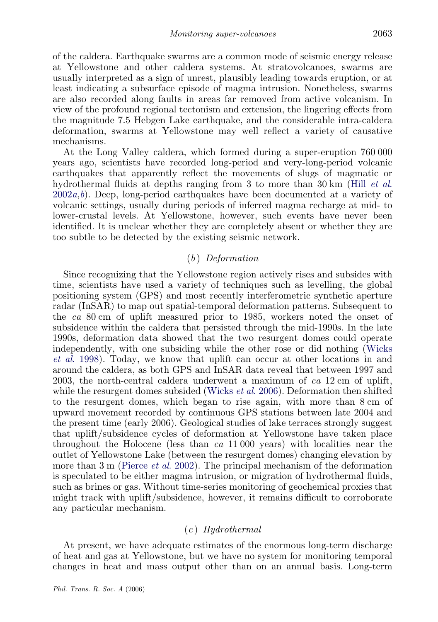of the caldera. Earthquake swarms are a common mode of seismic energy release at Yellowstone and other caldera systems. At stratovolcanoes, swarms are usually interpreted as a sign of unrest, plausibly leading towards eruption, or at least indicating a subsurface episode of magma intrusion. Nonetheless, swarms are also recorded along faults in areas far removed from active volcanism. In view of the profound regional tectonism and extension, the lingering effects from the magnitude 7.5 Hebgen Lake earthquake, and the considerable intra-caldera deformation, swarms at Yellowstone may well reflect a variety of causative mechanisms.

At the Long Valley caldera, which formed during a super-eruption 760 000 years ago, scientists have recorded long-period and very-long-period volcanic earthquakes that apparently reflect the movements of slugs of magmatic or hydrothermal fluids at depths ranging from 3 to more than 30 km (Hill *[et al](#page-15-0).*)  $2002a, b$  $2002a, b$  $2002a, b$ . Deep, long-period earthquakes have been documented at a variety of volcanic settings, usually during periods of inferred magma recharge at mid- to lower-crustal levels. At Yellowstone, however, such events have never been identified. It is unclear whether they are completely absent or whether they are too subtle to be detected by the existing seismic network.

## (b ) Deformation

Since recognizing that the Yellowstone region actively rises and subsides with time, scientists have used a variety of techniques such as levelling, the global positioning system (GPS) and most recently interferometric synthetic aperture radar (InSAR) to map out spatial-temporal deformation patterns. Subsequent to the ca 80 cm of uplift measured prior to 1985, workers noted the onset of subsidence within the caldera that persisted through the mid-1990s. In the late 1990s, deformation data showed that the two resurgent domes could operate independently, with one subsiding while the other rose or did nothing [\(Wicks](#page-17-0) et al[. 1998](#page-17-0)). Today, we know that uplift can occur at other locations in and around the caldera, as both GPS and InSAR data reveal that between 1997 and 2003, the north-central caldera underwent a maximum of ca 12 cm of uplift, while the resurgent domes subsided [\(Wicks](#page-17-0) *et al.* 2006). Deformation then shifted to the resurgent domes, which began to rise again, with more than 8 cm of upward movement recorded by continuous GPS stations between late 2004 and the present time (early 2006). Geological studies of lake terraces strongly suggest that uplift/subsidence cycles of deformation at Yellowstone have taken place throughout the Holocene (less than  $ca$  11 000 years) with localities near the outlet of Yellowstone Lake (between the resurgent domes) changing elevation by more than 3 m ([Pierce](#page-16-0) *et al.* 2002). The principal mechanism of the deformation is speculated to be either magma intrusion, or migration of hydrothermal fluids, such as brines or gas. Without time-series monitoring of geochemical proxies that might track with uplift/subsidence, however, it remains difficult to corroborate any particular mechanism.

## $(c)$  Hydrothermal

At present, we have adequate estimates of the enormous long-term discharge of heat and gas at Yellowstone, but we have no system for monitoring temporal changes in heat and mass output other than on an annual basis. Long-term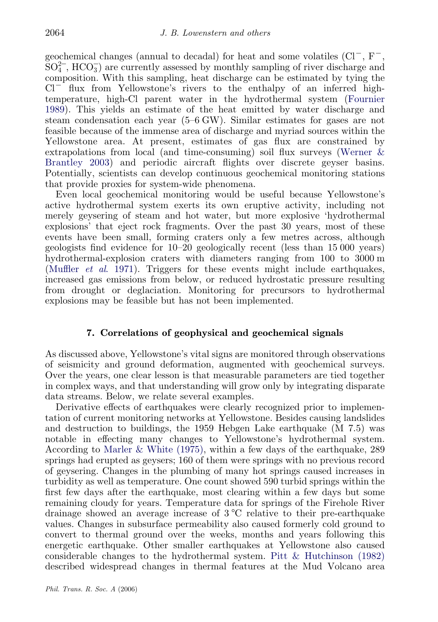geochemical changes (annual to decadal) for heat and some volatiles  $(Cl^-, F^-,$  $SO<sub>4</sub><sup>2</sup>$ , HCO<sub>3</sub>) are currently assessed by monthly sampling of river discharge and composition. With this sampling, heat discharge can be estimated by tying the  $Cl^-$  flux from Yellowstone's rivers to the enthalpy of an inferred hightemperature, high-Cl parent water in the hydrothermal system ([Fournier](#page-15-0) [1989\)](#page-15-0). This yields an estimate of the heat emitted by water discharge and steam condensation each year (5–6 GW). Similar estimates for gases are not feasible because of the immense area of discharge and myriad sources within the Yellowstone area. At present, estimates of gas flux are constrained by extrapolations from local (and time-consuming) soil flux surveys [\(Werner &](#page-17-0) [Brantley 2003](#page-17-0)) and periodic aircraft flights over discrete geyser basins. Potentially, scientists can develop continuous geochemical monitoring stations that provide proxies for system-wide phenomena.

Even local geochemical monitoring would be useful because Yellowstone's active hydrothermal system exerts its own eruptive activity, including not merely geysering of steam and hot water, but more explosive 'hydrothermal explosions' that eject rock fragments. Over the past 30 years, most of these events have been small, forming craters only a few metres across, although geologists find evidence for 10–20 geologically recent (less than 15 000 years) hydrothermal-explosion craters with diameters ranging from 100 to 3000 m [\(Muffler](#page-16-0) et al. 1971). Triggers for these events might include earthquakes, increased gas emissions from below, or reduced hydrostatic pressure resulting from drought or deglaciation. Monitoring for precursors to hydrothermal explosions may be feasible but has not been implemented.

## 7. Correlations of geophysical and geochemical signals

As discussed above, Yellowstone's vital signs are monitored through observations of seismicity and ground deformation, augmented with geochemical surveys. Over the years, one clear lesson is that measurable parameters are tied together in complex ways, and that understanding will grow only by integrating disparate data streams. Below, we relate several examples.

Derivative effects of earthquakes were clearly recognized prior to implementation of current monitoring networks at Yellowstone. Besides causing landslides and destruction to buildings, the 1959 Hebgen Lake earthquake (M 7.5) was notable in effecting many changes to Yellowstone's hydrothermal system. According to [Marler & White \(1975\)](#page-16-0), within a few days of the earthquake, 289 springs had erupted as geysers; 160 of them were springs with no previous record of geysering. Changes in the plumbing of many hot springs caused increases in turbidity as well as temperature. One count showed 590 turbid springs within the first few days after the earthquake, most clearing within a few days but some remaining cloudy for years. Temperature data for springs of the Firehole River drainage showed an average increase of  $3^{\circ}C$  relative to their pre-earthquake values. Changes in subsurface permeability also caused formerly cold ground to convert to thermal ground over the weeks, months and years following this energetic earthquake. Other smaller earthquakes at Yellowstone also caused considerable changes to the hydrothermal system. [Pitt & Hutchinson \(1982\)](#page-16-0) described widespread changes in thermal features at the Mud Volcano area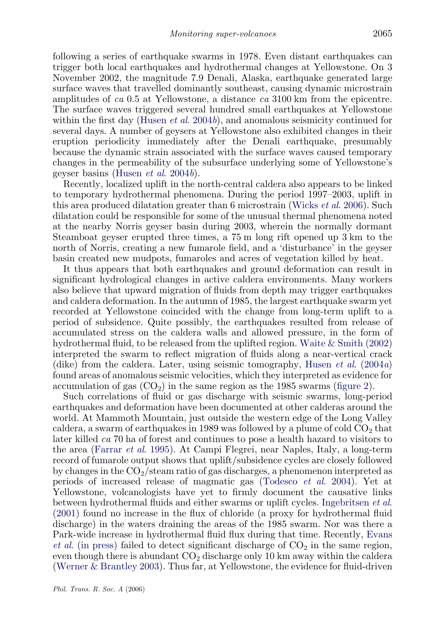following a series of earthquake swarms in 1978. Even distant earthquakes can trigger both local earthquakes and hydrothermal changes at Yellowstone. On 3 November 2002, the magnitude 7.9 Denali, Alaska, earthquake generated large surface waves that travelled dominantly southeast, causing dynamic microstrain amplitudes of ca 0.5 at Yellowstone, a distance ca 3100 km from the epicentre. The surface waves triggered several hundred small earthquakes at Yellowstone within the first day ([Husen](#page-16-0) *et al.* 2004b), and anomalous seismicity continued for several days. A number of geysers at Yellowstone also exhibited changes in their eruption periodicity immediately after the Denali earthquake, presumably because the dynamic strain associated with the surface waves caused temporary changes in the permeability of the subsurface underlying some of Yellowstone's geyser basins [\(Husen](#page-16-0) et al. 2004b).

Recently, localized uplift in the north-central caldera also appears to be linked to temporary hydrothermal phenomena. During the period 1997–2003, uplift in this area produced dilatation greater than 6 microstrain ([Wicks](#page-17-0) et al. 2006). Such dilatation could be responsible for some of the unusual thermal phenomena noted at the nearby Norris geyser basin during 2003, wherein the normally dormant Steamboat geyser erupted three times, a 75 m long rift opened up 3 km to the north of Norris, creating a new fumarole field, and a 'disturbance' in the geyser basin created new mudpots, fumaroles and acres of vegetation killed by heat.

It thus appears that both earthquakes and ground deformation can result in significant hydrological changes in active caldera environments. Many workers also believe that upward migration of fluids from depth may trigger earthquakes and caldera deformation. In the autumn of 1985, the largest earthquake swarm yet recorded at Yellowstone coincided with the change from long-term uplift to a period of subsidence. Quite possibly, the earthquakes resulted from release of accumulated stress on the caldera walls and allowed pressure, in the form of hydrothermal fluid, to be released from the uplifted region. [Waite & Smith \(2002\)](#page-17-0) interpreted the swarm to reflect migration of fluids along a near-vertical crack (dike) from the caldera. Later, using seismic tomography, Husen *et al.* (2004*a*) found areas of anomalous seismic velocities, which they interpreted as evidence for accumulation of gas  $(CO<sub>2</sub>)$  in the same region as the 1985 swarms ([figure 2](#page-6-0)).

Such correlations of fluid or gas discharge with seismic swarms, long-period earthquakes and deformation have been documented at other calderas around the world. At Mammoth Mountain, just outside the western edge of the Long Valley caldera, a swarm of earthquakes in 1989 was followed by a plume of cold  $CO<sub>2</sub>$  that later killed ca 70 ha of forest and continues to pose a health hazard to visitors to the area [\(Farrar](#page-15-0) et al. 1995). At Campi Flegrei, near Naples, Italy, a long-term record of fumarole output shows that uplift/subsidence cycles are closely followed by changes in the  $CO<sub>2</sub>/\text{steam ratio of gas discharges, a phenomenon interpreted as}$ periods of increased release of magmatic gas [\(Todesco](#page-17-0) et al. 2004). Yet at Yellowstone, volcanologists have yet to firmly document the causative links between hydrothermal fluids and either swarms or uplift cycles. [Ingebritsen](#page-16-0) et al. [\(2001\)](#page-16-0) found no increase in the flux of chloride (a proxy for hydrothermal fluid discharge) in the waters draining the areas of the 1985 swarm. Nor was there a Park-wide increase in hydrothermal fluid flux during that time. Recently, [Evans](#page-15-0) *et al.* (in press) failed to detect significant discharge of  $CO<sub>2</sub>$  in the same region, even though there is abundant  $CO<sub>2</sub>$  discharge only 10 km away within the caldera [\(Werner & Brantley 2003](#page-17-0)). Thus far, at Yellowstone, the evidence for fluid-driven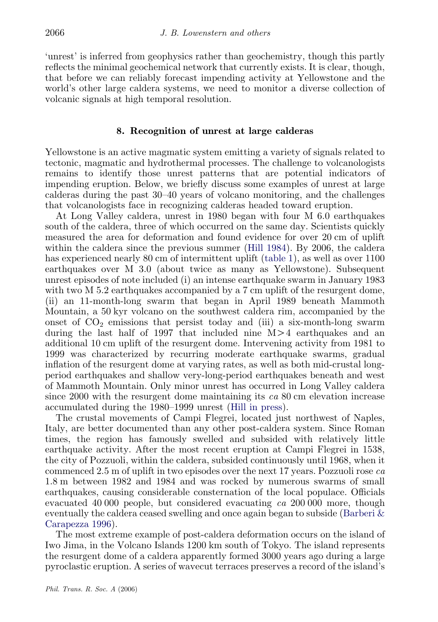'unrest' is inferred from geophysics rather than geochemistry, though this partly reflects the minimal geochemical network that currently exists. It is clear, though, that before we can reliably forecast impending activity at Yellowstone and the world's other large caldera systems, we need to monitor a diverse collection of volcanic signals at high temporal resolution.

#### 8. Recognition of unrest at large calderas

Yellowstone is an active magmatic system emitting a variety of signals related to tectonic, magmatic and hydrothermal processes. The challenge to volcanologists remains to identify those unrest patterns that are potential indicators of impending eruption. Below, we briefly discuss some examples of unrest at large calderas during the past 30–40 years of volcano monitoring, and the challenges that volcanologists face in recognizing calderas headed toward eruption.

At Long Valley caldera, unrest in 1980 began with four M 6.0 earthquakes south of the caldera, three of which occurred on the same day. Scientists quickly measured the area for deformation and found evidence for over 20 cm of uplift within the caldera since the previous summer ([Hill 1984](#page-15-0)). By 2006, the caldera has experienced nearly 80 cm of intermittent uplift [\(table 1](#page-12-0)), as well as over 1100 earthquakes over M 3.0 (about twice as many as Yellowstone). Subsequent unrest episodes of note included (i) an intense earthquake swarm in January 1983 with two M 5.2 earthquakes accompanied by a 7 cm uplift of the resurgent dome, (ii) an 11-month-long swarm that began in April 1989 beneath Mammoth Mountain, a 50 kyr volcano on the southwest caldera rim, accompanied by the onset of  $CO<sub>2</sub>$  emissions that persist today and (iii) a six-month-long swarm during the last half of 1997 that included nine  $M > 4$  earthquakes and an additional 10 cm uplift of the resurgent dome. Intervening activity from 1981 to 1999 was characterized by recurring moderate earthquake swarms, gradual inflation of the resurgent dome at varying rates, as well as both mid-crustal longperiod earthquakes and shallow very-long-period earthquakes beneath and west of Mammoth Mountain. Only minor unrest has occurred in Long Valley caldera since 2000 with the resurgent dome maintaining its  $ca$  80 cm elevation increase accumulated during the 1980–1999 unrest ([Hill in press\)](#page-15-0).

The crustal movements of Campi Flegrei, located just northwest of Naples, Italy, are better documented than any other post-caldera system. Since Roman times, the region has famously swelled and subsided with relatively little earthquake activity. After the most recent eruption at Campi Flegrei in 1538, the city of Pozzuoli, within the caldera, subsided continuously until 1968, when it commenced 2.5 m of uplift in two episodes over the next 17 years. Pozzuoli rose ca 1.8 m between 1982 and 1984 and was rocked by numerous swarms of small earthquakes, causing considerable consternation of the local populace. Officials evacuated 40 000 people, but considered evacuating ca 200 000 more, though eventually the caldera ceased swelling and once again began to subside [\(Barberi &](#page-15-0) [Carapezza 1996](#page-15-0)).

The most extreme example of post-caldera deformation occurs on the island of Iwo Jima, in the Volcano Islands 1200 km south of Tokyo. The island represents the resurgent dome of a caldera apparently formed 3000 years ago during a large pyroclastic eruption. A series of wavecut terraces preserves a record of the island's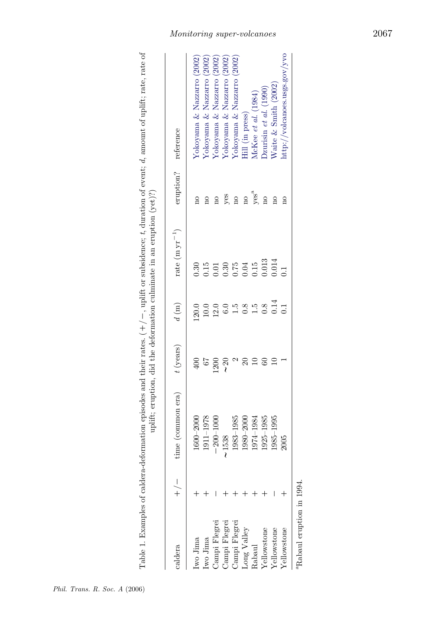<span id="page-12-0"></span>

| i<br>.<br>:<br>じゅうしゅく<br>¢<br>$-1$ and $-1$<br>医皮肤炎 医血管<br>$\frac{1}{1} + \frac{1}{1} + \frac{1}{1} + \frac{1}{1}$<br>j<br>֧֦֦֧֧֧֧֧֧֧֧֧֛֧֧֧֪ׅ֪֛֪֛֪֛֪֛֪֧֧֛֪ׅ֪֛֪֛֚֚֚֚֚֚֚֚֚֚֡֕֕֕֝֬֝֬֝֝֬֝֕֝֬֝֬֝֬֝֬֝֬֝֬֝֬֝֬֝֬֝֬֝֬֝֬֝֬<br>l<br>j<br>į |
|---------------------------------------------------------------------------------------------------------------------------------------------------------------------------------------------------------------------------------|
|---------------------------------------------------------------------------------------------------------------------------------------------------------------------------------------------------------------------------------|

| caldera              | ne (common era) $t$ (years) $d \text{ (m)}$ |                  |                  | rate (m $yr^{-1}$ ) | eruption? reference |                               |
|----------------------|---------------------------------------------|------------------|------------------|---------------------|---------------------|-------------------------------|
| wo Jima              | 1600-2000                                   |                  | 120.0            | 0.30                | $\frac{1}{2}$       | Yokoyama & Nazzarro (2002)    |
| Iwo Jima             | 1911-1978                                   |                  | 10.0             | 0.15                |                     | Yokoyama & Nazzarro (2002)    |
| <b>Jampi Flegrei</b> | $200 - 1000$                                | $\overline{200}$ | 12.0             | $\Xi$               |                     | Yokoyama & Nazzarro (2002)    |
| <b>Jampi Flegrei</b> | 538                                         |                  | $\overline{6.0}$ | 0.30                | yes                 | Yokoyama & Nazzarro (2002)    |
| <b>Jampi Flegrei</b> | 1983–1985                                   |                  | $\overline{1}$   |                     | $\frac{1}{2}$       | Yokoyama & Nazzarro (2002)    |
| ong Valley           | $1980 - 2000$                               |                  | $\overline{0.8}$ | $0.75$<br>$0.04$    | $\overline{\Omega}$ | Hill (in press)               |
| Rabaul               | 1974–1984                                   |                  | $\ddot{5}$       | 0.15                | $yes^a$             | McKee et al. (1984)           |
| ellowstone           | 1925-1985                                   |                  | 0.8              | 0.013               | $\frac{1}{2}$       | $Dz$ urisin et al. $(1990)$   |
| Zellowstone          | $1985 - 1995$                               |                  | 0.14             | 0.014               | $\frac{1}{2}$       | $N$ aite & Smith $(2002)$     |
| <i>I</i> ellowstone  | 2005                                        |                  | $\overline{0}$   | $\overline{a}$      |                     | nttp://volcanoes.usgs.gov/yvo |
|                      |                                             |                  |                  |                     |                     |                               |

<sup>a</sup>Rabaul eruption in 1994. aRabaul eruption in 1994.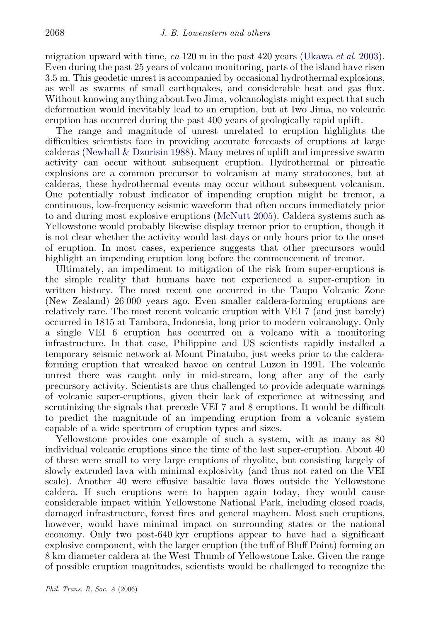migration upward with time,  $ca 120$  m in the past 420 years ([Ukawa](#page-17-0) *et al.* 2003). Even during the past 25 years of volcano monitoring, parts of the island have risen 3.5 m. This geodetic unrest is accompanied by occasional hydrothermal explosions, as well as swarms of small earthquakes, and considerable heat and gas flux. Without knowing anything about Iwo Jima, volcanologists might expect that such deformation would inevitably lead to an eruption, but at Iwo Jima, no volcanic eruption has occurred during the past 400 years of geologically rapid uplift.

The range and magnitude of unrest unrelated to eruption highlights the difficulties scientists face in providing accurate forecasts of eruptions at large calderas [\(Newhall & Dzurisin 1988](#page-16-0)). Many metres of uplift and impressive swarm activity can occur without subsequent eruption. Hydrothermal or phreatic explosions are a common precursor to volcanism at many stratocones, but at calderas, these hydrothermal events may occur without subsequent volcanism. One potentially robust indicator of impending eruption might be tremor, a continuous, low-frequency seismic waveform that often occurs immediately prior to and during most explosive eruptions [\(McNutt 2005](#page-16-0)). Caldera systems such as Yellowstone would probably likewise display tremor prior to eruption, though it is not clear whether the activity would last days or only hours prior to the onset of eruption. In most cases, experience suggests that other precursors would highlight an impending eruption long before the commencement of tremor.

Ultimately, an impediment to mitigation of the risk from super-eruptions is the simple reality that humans have not experienced a super-eruption in written history. The most recent one occurred in the Taupo Volcanic Zone (New Zealand) 26 000 years ago. Even smaller caldera-forming eruptions are relatively rare. The most recent volcanic eruption with VEI 7 (and just barely) occurred in 1815 at Tambora, Indonesia, long prior to modern volcanology. Only a single VEI 6 eruption has occurred on a volcano with a monitoring infrastructure. In that case, Philippine and US scientists rapidly installed a temporary seismic network at Mount Pinatubo, just weeks prior to the calderaforming eruption that wreaked havoc on central Luzon in 1991. The volcanic unrest there was caught only in mid-stream, long after any of the early precursory activity. Scientists are thus challenged to provide adequate warnings of volcanic super-eruptions, given their lack of experience at witnessing and scrutinizing the signals that precede VEI 7 and 8 eruptions. It would be difficult to predict the magnitude of an impending eruption from a volcanic system capable of a wide spectrum of eruption types and sizes.

Yellowstone provides one example of such a system, with as many as 80 individual volcanic eruptions since the time of the last super-eruption. About 40 of these were small to very large eruptions of rhyolite, but consisting largely of slowly extruded lava with minimal explosivity (and thus not rated on the VEI scale). Another 40 were effusive basaltic lava flows outside the Yellowstone caldera. If such eruptions were to happen again today, they would cause considerable impact within Yellowstone National Park, including closed roads, damaged infrastructure, forest fires and general mayhem. Most such eruptions, however, would have minimal impact on surrounding states or the national economy. Only two post-640 kyr eruptions appear to have had a significant explosive component, with the larger eruption (the tuff of Bluff Point) forming an 8 km diameter caldera at the West Thumb of Yellowstone Lake. Given the range of possible eruption magnitudes, scientists would be challenged to recognize the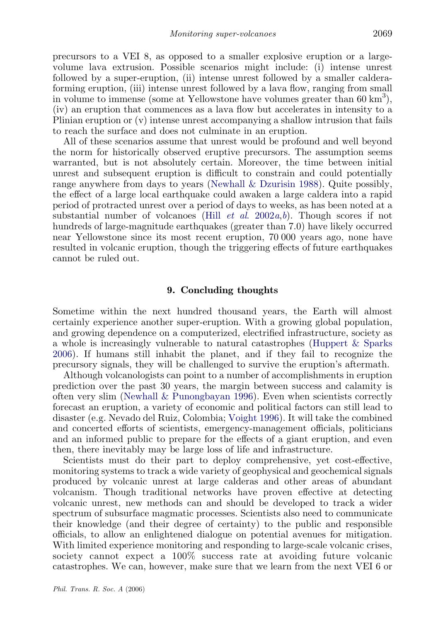precursors to a VEI 8, as opposed to a smaller explosive eruption or a largevolume lava extrusion. Possible scenarios might include: (i) intense unrest followed by a super-eruption, (ii) intense unrest followed by a smaller calderaforming eruption, (iii) intense unrest followed by a lava flow, ranging from small in volume to immense (some at Yellowstone have volumes greater than 60 km<sup>3</sup>), (iv) an eruption that commences as a lava flow but accelerates in intensity to a Plinian eruption or (v) intense unrest accompanying a shallow intrusion that fails to reach the surface and does not culminate in an eruption.

All of these scenarios assume that unrest would be profound and well beyond the norm for historically observed eruptive precursors. The assumption seems warranted, but is not absolutely certain. Moreover, the time between initial unrest and subsequent eruption is difficult to constrain and could potentially range anywhere from days to years [\(Newhall & Dzurisin 1988\)](#page-16-0). Quite possibly, the effect of a large local earthquake could awaken a large caldera into a rapid period of protracted unrest over a period of days to weeks, as has been noted at a su[b](#page-15-0)stantial number of volcanoes (Hill *et al.* 2002a,b). Though scores if not hundreds of large-magnitude earthquakes (greater than 7.0) have likely occurred near Yellowstone since its most recent eruption, 70 000 years ago, none have resulted in volcanic eruption, though the triggering effects of future earthquakes cannot be ruled out.

#### 9. Concluding thoughts

Sometime within the next hundred thousand years, the Earth will almost certainly experience another super-eruption. With a growing global population, and growing dependence on a computerized, electrified infrastructure, society as a whole is increasingly vulnerable to natural catastrophes ([Huppert & Sparks](#page-15-0) [2006](#page-15-0)). If humans still inhabit the planet, and if they fail to recognize the precursory signals, they will be challenged to survive the eruption's aftermath.

Although volcanologists can point to a number of accomplishments in eruption prediction over the past 30 years, the margin between success and calamity is often very slim (Newhall  $\&$  Punongbayan 1996). Even when scientists correctly forecast an eruption, a variety of economic and political factors can still lead to disaster (e.g. Nevado del Ruiz, Colombia; [Voight 1996](#page-17-0)). It will take the combined and concerted efforts of scientists, emergency-management officials, politicians and an informed public to prepare for the effects of a giant eruption, and even then, there inevitably may be large loss of life and infrastructure.

Scientists must do their part to deploy comprehensive, yet cost-effective, monitoring systems to track a wide variety of geophysical and geochemical signals produced by volcanic unrest at large calderas and other areas of abundant volcanism. Though traditional networks have proven effective at detecting volcanic unrest, new methods can and should be developed to track a wider spectrum of subsurface magmatic processes. Scientists also need to communicate their knowledge (and their degree of certainty) to the public and responsible officials, to allow an enlightened dialogue on potential avenues for mitigation. With limited experience monitoring and responding to large-scale volcanic crises, society cannot expect a 100% success rate at avoiding future volcanic catastrophes. We can, however, make sure that we learn from the next VEI 6 or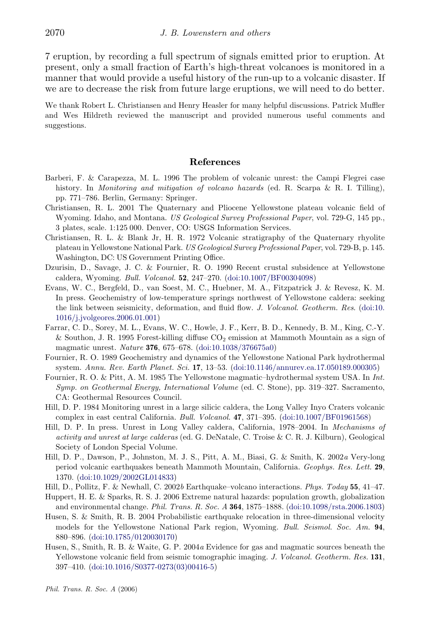<span id="page-15-0"></span>7 eruption, by recording a full spectrum of signals emitted prior to eruption. At present, only a small fraction of Earth's high-threat volcanoes is monitored in a manner that would provide a useful history of the run-up to a volcanic disaster. If we are to decrease the risk from future large eruptions, we will need to do better.

We thank Robert L. Christiansen and Henry Heasler for many helpful discussions. Patrick Muffler and Wes Hildreth reviewed the manuscript and provided numerous useful comments and suggestions.

#### References

- Barberi, F. & Carapezza, M. L. 1996 The problem of volcanic unrest: the Campi Flegrei case history. In *Monitoring and mitigation of volcano hazards* (ed. R. Scarpa & R. I. Tilling), pp. 771–786. Berlin, Germany: Springer.
- Christiansen, R. L. 2001 The Quaternary and Pliocene Yellowstone plateau volcanic field of Wyoming. Idaho, and Montana. US Geological Survey Professional Paper, vol. 729-G, 145 pp., 3 plates, scale. 1:125 000. Denver, CO: USGS Information Services.
- Christiansen, R. L. & Blank Jr, H. R. 1972 Volcanic stratigraphy of the Quaternary rhyolite plateau in Yellowstone National Park. US Geological Survey Professional Paper, vol. 729-B, p. 145. Washington, DC: US Government Printing Office.
- Dzurisin, D., Savage, J. C. & Fournier, R. O. 1990 Recent crustal subsidence at Yellowstone caldera, Wyoming. Bull. Volcanol. 52, 247–270. [\(doi:10.1007/BF00304098\)](http://dx.doi.org/doi:10.1007/BF00304098)
- Evans, W. C., Bergfeld, D., van Soest, M. C., Huebner, M. A., Fitzpatrick J. & Revesz, K. M. In press. Geochemistry of low-temperature springs northwest of Yellowstone caldera: seeking the link between seismicity, deformation, and fluid flow. J. Volcanol. Geotherm. Res. [\(doi:10.](http://dx.doi.org/doi:10.1016/j.jvolgeores.2006.01.001) [1016/j.jvolgeores.2006.01.001\)](http://dx.doi.org/doi:10.1016/j.jvolgeores.2006.01.001)
- Farrar, C. D., Sorey, M. L., Evans, W. C., Howle, J. F., Kerr, B. D., Kennedy, B. M., King, C.-Y. & Southon, J. R. 1995 Forest-killing diffuse  $CO<sub>2</sub>$  emission at Mammoth Mountain as a sign of magmatic unrest. Nature 376, 675–678. ([doi:10.1038/376675a0](http://dx.doi.org/doi:10.1038/376675a0))
- Fournier, R. O. 1989 Geochemistry and dynamics of the Yellowstone National Park hydrothermal system. Annu. Rev. Earth Planet. Sci. 17, 13–53. ([doi:10.1146/annurev.ea.17.050189.000305](http://dx.doi.org/doi:10.1146/annurev.ea.17.050189.000305))
- Fournier, R. O. & Pitt, A. M. 1985 The Yellowstone magmatic–hydrothermal system USA. In Int. Symp. on Geothermal Energy, International Volume (ed. C. Stone), pp. 319–327. Sacramento, CA: Geothermal Resources Council.
- Hill, D. P. 1984 Monitoring unrest in a large silicic caldera, the Long Valley Inyo Craters volcanic complex in east central California. Bull. Volcanol. 47, 371–395. [\(doi:10.1007/BF01961568\)](http://dx.doi.org/doi:10.1007/BF01961568)
- Hill, D. P. In press. Unrest in Long Valley caldera, California, 1978–2004. In Mechanisms of activity and unrest at large calderas (ed. G. DeNatale, C. Troise & C. R. J. Kilburn), Geological Society of London Special Volume.
- Hill, D. P., Dawson, P., Johnston, M. J. S., Pitt, A. M., Biasi, G. & Smith, K. 2002a Very-long period volcanic earthquakes beneath Mammoth Mountain, California. Geophys. Res. Lett. 29, 1370. ([doi:10.1029/2002GL014833\)](http://dx.doi.org/doi:10.1029/2002GL014833)
- Hill, D., Pollitz, F. & Newhall, C. 2002b Earthquake–volcano interactions. Phys. Today 55, 41–47.
- Huppert, H. E. & Sparks, R. S. J. 2006 Extreme natural hazards: population growth, globalization and environmental change. Phil. Trans. R. Soc. A 364, 1875–1888. ([doi:10.1098/rsta.2006.1803\)](http://dx.doi.org/doi:10.1098/rsta.2006.1803)
- Husen, S. & Smith, R. B. 2004 Probabilistic earthquake relocation in three-dimensional velocity models for the Yellowstone National Park region, Wyoming. Bull. Seismol. Soc. Am. 94, 880–896. [\(doi:10.1785/0120030170](http://dx.doi.org/doi:10.1785/0120030170))
- Husen, S., Smith, R. B. & Waite, G. P. 2004a Evidence for gas and magmatic sources beneath the Yellowstone volcanic field from seismic tomographic imaging. J. Volcanol. Geotherm. Res. 131, 397–410. [\(doi:10.1016/S0377-0273\(03\)00416-5](http://dx.doi.org/doi:10.1016/S0377-0273(03)00416-5))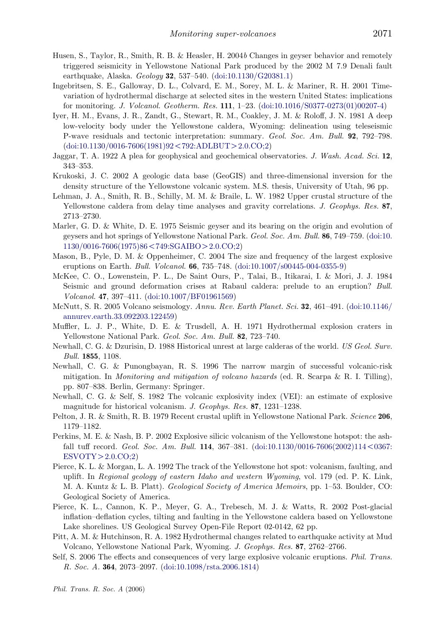- <span id="page-16-0"></span>Husen, S., Taylor, R., Smith, R. B. & Heasler, H. 2004b Changes in geyser behavior and remotely triggered seismicity in Yellowstone National Park produced by the 2002 M 7.9 Denali fault earthquake, Alaska. Geology 32, 537–540. ([doi:10.1130/G20381.1](http://dx.doi.org/doi:10.1130/G20381.1))
- Ingebritsen, S. E., Galloway, D. L., Colvard, E. M., Sorey, M. L. & Mariner, R. H. 2001 Timevariation of hydrothermal discharge at selected sites in the western United States: implications for monitoring. J. Volcanol. Geotherm. Res. 111, 1–23. [\(doi:10.1016/S0377-0273\(01\)00207-4](http://dx.doi.org/doi:10.1016/S0377-0273(01)00207-4))
- Iyer, H. M., Evans, J. R., Zandt, G., Stewart, R. M., Coakley, J. M. & Roloff, J. N. 1981 A deep low-velocity body under the Yellowstone caldera, Wyoming: delineation using teleseismic P-wave residuals and tectonic interpretation: summary. Geol. Soc. Am. Bull. 92, 792–798.  $(doi:10.1130/0016-7606(1981)92<792$  $(doi:10.1130/0016-7606(1981)92<792$  $(doi:10.1130/0016-7606(1981)92<792$ :ADLBUT $>2.0$ .CO:2)
- Jaggar, T. A. 1922 A plea for geophysical and geochemical observatories. J. Wash. Acad. Sci. 12, 343–353.
- Krukoski, J. C. 2002 A geologic data base (GeoGIS) and three-dimensional inversion for the density structure of the Yellowstone volcanic system. M.S. thesis, University of Utah, 96 pp.
- Lehman, J. A., Smith, R. B., Schilly, M. M. & Braile, L. W. 1982 Upper crustal structure of the Yellowstone caldera from delay time analyses and gravity correlations. J. Geophys. Res. 87, 2713–2730.
- Marler, G. D. & White, D. E. 1975 Seismic geyser and its bearing on the origin and evolution of geysers and hot springs of Yellowstone National Park. Geol. Soc. Am. Bull. 86, 749–759. ([doi:10.](http://dx.doi.org/doi:10.1130/0016-7606(1975)86%3C749:SGAIBO%3E2.0.CO;2)  $1130/0016-7606(1975)86 < 749:SGAIBO > 2.0.CO;2)$  $1130/0016-7606(1975)86 < 749:SGAIBO > 2.0.CO;2)$
- Mason, B., Pyle, D. M. & Oppenheimer, C. 2004 The size and frequency of the largest explosive eruptions on Earth. Bull. Volcanol. 66, 735–748. ([doi:10.1007/s00445-004-0355-9\)](http://dx.doi.org/doi:10.1007/s00445-004-0355-9)
- McKee, C. O., Lowenstein, P. L., De Saint Ours, P., Talai, B., Itikarai, I. & Mori, J. J. 1984 Seismic and ground deformation crises at Rabaul caldera: prelude to an eruption? Bull. Volcanol. 47, 397–411. [\(doi:10.1007/BF01961569\)](http://dx.doi.org/doi:10.1007/BF01961569)
- McNutt, S. R. 2005 Volcano seismology. Annu. Rev. Earth Planet. Sci. 32, 461–491. [\(doi:10.1146/](http://dx.doi.org/doi:10.1146/annurev.earth.33.092203.122459) [annurev.earth.33.092203.122459](http://dx.doi.org/doi:10.1146/annurev.earth.33.092203.122459))
- Muffler, L. J. P., White, D. E. & Trusdell, A. H. 1971 Hydrothermal explosion craters in Yellowstone National Park. Geol. Soc. Am. Bull. 82, 723–740.
- Newhall, C. G. & Dzurisin, D. 1988 Historical unrest at large calderas of the world. US Geol. Surv. Bull. 1855, 1108.
- Newhall, C. G. & Punongbayan, R. S. 1996 The narrow margin of successful volcanic-risk mitigation. In *Monitoring and mitigation of volcano hazards* (ed. R. Scarpa & R. I. Tilling), pp. 807–838. Berlin, Germany: Springer.
- Newhall, C. G. & Self, S. 1982 The volcanic explosivity index (VEI): an estimate of explosive magnitude for historical volcanism. J. Geophys. Res. 87, 1231–1238.
- Pelton, J. R. & Smith, R. B. 1979 Recent crustal uplift in Yellowstone National Park. Science 206, 1179–1182.
- Perkins, M. E. & Nash, B. P. 2002 Explosive silicic volcanism of the Yellowstone hotspot: the ashfall tuff record. Geol. Soc. Am. Bull. 114, 367-381. ([doi:10.1130/0016-7606\(2002\)114](http://dx.doi.org/doi:10.1130/0016-7606(2002)114%3C0367:ESVOTY%3E2.0.CO;2) < 0367:  $ESVOTY > 2.0$  $ESVOTY > 2.0$ .CO;2)
- Pierce, K. L. & Morgan, L. A. 1992 The track of the Yellowstone hot spot: volcanism, faulting, and uplift. In Regional geology of eastern Idaho and western Wyoming, vol. 179 (ed. P. K. Link, M. A. Kuntz & L. B. Platt). Geological Society of America Memoirs, pp. 1–53. Boulder, CO: Geological Society of America.
- Pierce, K. L., Cannon, K. P., Meyer, G. A., Trebesch, M. J. & Watts, R. 2002 Post-glacial inflation–deflation cycles, tilting and faulting in the Yellowstone caldera based on Yellowstone Lake shorelines. US Geological Survey Open-File Report 02-0142, 62 pp.
- Pitt, A. M. & Hutchinson, R. A. 1982 Hydrothermal changes related to earthquake activity at Mud Volcano, Yellowstone National Park, Wyoming. J. Geophys. Res. 87, 2762–2766.
- Self, S. 2006 The effects and consequences of very large explosive volcanic eruptions. Phil. Trans. R. Soc. A. 364, 2073–2097. [\(doi:10.1098/rsta.2006.1814\)](http://dx.doi.org/doi:10.1098/rsta.2006.1814)